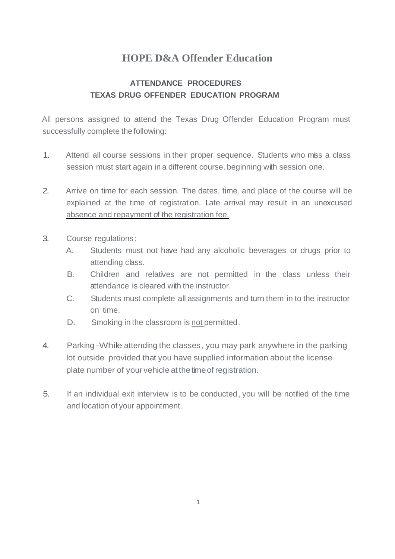## **HOPE D&A Offender Education**

## **ATTENDANCE PROCEDURES TEXAS DRUG OFFENDER EDUCATION PROGRAM**

All persons assigned to attend the Texas Drug Offender Education Program must successfully complete the following:

- 1. Attend all course sessions in their proper sequence. Students who miss a class session must start again in a different course, beginning with session one.
- 2. Arrive on time for each session. The dates, time, and place of the course will be explained at the time of registration. Late arrival may result in an unexcused absence and repayment of the registration fee.
- 3. Course regulations:
	- A. Students must not have had any alcoholic beverages or drugs prior to attending class.
	- B. Children and relatives are not permitted in the class unless their attendance is cleared with the instructor.
	- C. Students must complete all assignments and turn them in to the instructor on time.
	- D. Smoking in the classroom is not permitted.
- 4. Parking -While attending the classes, you may park anywhere in the parking lot outside provided that you have supplied information about the license plate number of your vehicle at the time of registration.
- 5. If an individual exit interview is to be conducted,you will be notified of the time and location of your appointment.